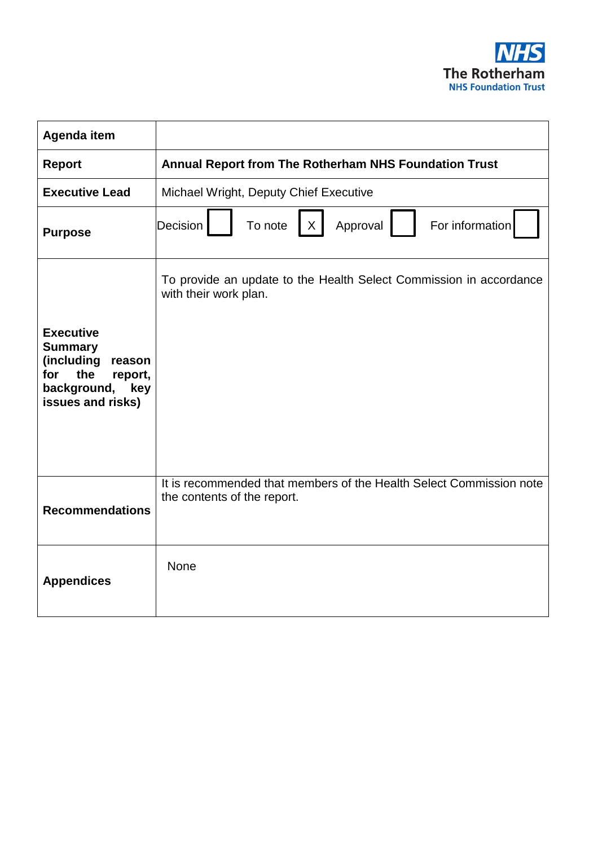

| Agenda item                                                                                                                    |                                                                                                    |
|--------------------------------------------------------------------------------------------------------------------------------|----------------------------------------------------------------------------------------------------|
| <b>Report</b>                                                                                                                  | Annual Report from The Rotherham NHS Foundation Trust                                              |
| <b>Executive Lead</b>                                                                                                          | Michael Wright, Deputy Chief Executive                                                             |
| <b>Purpose</b>                                                                                                                 | To note<br>Approval<br>For information<br>Decision<br>X                                            |
| <b>Executive</b><br><b>Summary</b><br>(including<br>reason<br>the<br>for<br>report,<br>background,<br>key<br>issues and risks) | To provide an update to the Health Select Commission in accordance<br>with their work plan.        |
| <b>Recommendations</b>                                                                                                         | It is recommended that members of the Health Select Commission note<br>the contents of the report. |
| <b>Appendices</b>                                                                                                              | <b>None</b>                                                                                        |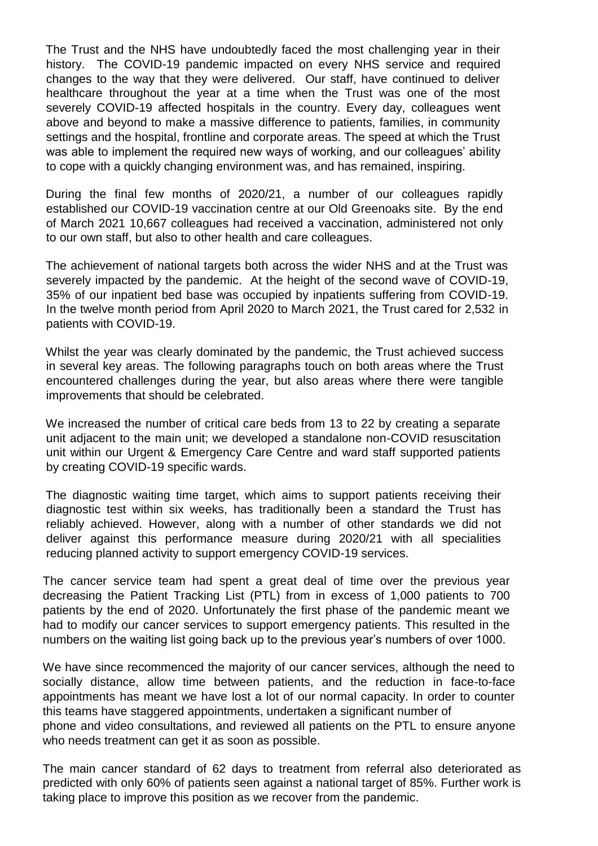The Trust and the NHS have undoubtedly faced the most challenging year in their history. The COVID-19 pandemic impacted on every NHS service and required changes to the way that they were delivered. Our staff, have continued to deliver healthcare throughout the year at a time when the Trust was one of the most severely COVID-19 affected hospitals in the country. Every day, colleagues went above and beyond to make a massive difference to patients, families, in community settings and the hospital, frontline and corporate areas. The speed at which the Trust was able to implement the required new ways of working, and our colleagues' ability to cope with a quickly changing environment was, and has remained, inspiring.

During the final few months of 2020/21, a number of our colleagues rapidly established our COVID-19 vaccination centre at our Old Greenoaks site. By the end of March 2021 10,667 colleagues had received a vaccination, administered not only to our own staff, but also to other health and care colleagues.

The achievement of national targets both across the wider NHS and at the Trust was severely impacted by the pandemic. At the height of the second wave of COVID-19, 35% of our inpatient bed base was occupied by inpatients suffering from COVID-19. In the twelve month period from April 2020 to March 2021, the Trust cared for 2,532 in patients with COVID-19.

Whilst the year was clearly dominated by the pandemic, the Trust achieved success in several key areas. The following paragraphs touch on both areas where the Trust encountered challenges during the year, but also areas where there were tangible improvements that should be celebrated.

We increased the number of critical care beds from 13 to 22 by creating a separate unit adjacent to the main unit; we developed a standalone non-COVID resuscitation unit within our Urgent & Emergency Care Centre and ward staff supported patients by creating COVID-19 specific wards.

The diagnostic waiting time target, which aims to support patients receiving their diagnostic test within six weeks, has traditionally been a standard the Trust has reliably achieved. However, along with a number of other standards we did not deliver against this performance measure during 2020/21 with all specialities reducing planned activity to support emergency COVID-19 services.

The cancer service team had spent a great deal of time over the previous year decreasing the Patient Tracking List (PTL) from in excess of 1,000 patients to 700 patients by the end of 2020. Unfortunately the first phase of the pandemic meant we had to modify our cancer services to support emergency patients. This resulted in the numbers on the waiting list going back up to the previous year's numbers of over 1000.

We have since recommenced the majority of our cancer services, although the need to socially distance, allow time between patients, and the reduction in face-to-face appointments has meant we have lost a lot of our normal capacity. In order to counter this teams have staggered appointments, undertaken a significant number of phone and video consultations, and reviewed all patients on the PTL to ensure anyone who needs treatment can get it as soon as possible.

The main cancer standard of 62 days to treatment from referral also deteriorated as predicted with only 60% of patients seen against a national target of 85%. Further work is taking place to improve this position as we recover from the pandemic.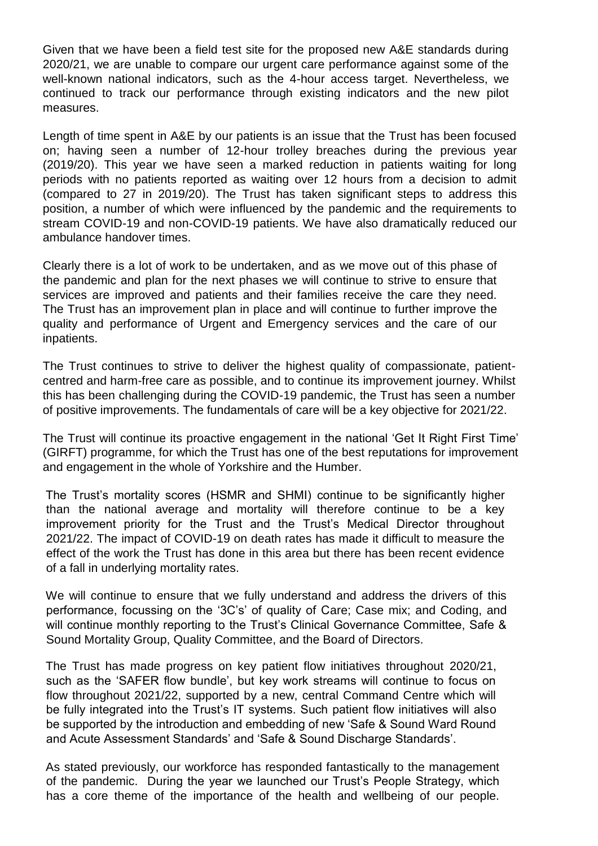Given that we have been a field test site for the proposed new A&E standards during 2020/21, we are unable to compare our urgent care performance against some of the well-known national indicators, such as the 4-hour access target. Nevertheless, we continued to track our performance through existing indicators and the new pilot measures.

Length of time spent in A&E by our patients is an issue that the Trust has been focused on; having seen a number of 12-hour trolley breaches during the previous year (2019/20). This year we have seen a marked reduction in patients waiting for long periods with no patients reported as waiting over 12 hours from a decision to admit (compared to 27 in 2019/20). The Trust has taken significant steps to address this position, a number of which were influenced by the pandemic and the requirements to stream COVID-19 and non-COVID-19 patients. We have also dramatically reduced our ambulance handover times.

Clearly there is a lot of work to be undertaken, and as we move out of this phase of the pandemic and plan for the next phases we will continue to strive to ensure that services are improved and patients and their families receive the care they need. The Trust has an improvement plan in place and will continue to further improve the quality and performance of Urgent and Emergency services and the care of our inpatients.

The Trust continues to strive to deliver the highest quality of compassionate, patientcentred and harm-free care as possible, and to continue its improvement journey. Whilst this has been challenging during the COVID-19 pandemic, the Trust has seen a number of positive improvements. The fundamentals of care will be a key objective for 2021/22.

The Trust will continue its proactive engagement in the national 'Get It Right First Time' (GIRFT) programme, for which the Trust has one of the best reputations for improvement and engagement in the whole of Yorkshire and the Humber.

The Trust's mortality scores (HSMR and SHMI) continue to be significantly higher than the national average and mortality will therefore continue to be a key improvement priority for the Trust and the Trust's Medical Director throughout 2021/22. The impact of COVID-19 on death rates has made it difficult to measure the effect of the work the Trust has done in this area but there has been recent evidence of a fall in underlying mortality rates.

We will continue to ensure that we fully understand and address the drivers of this performance, focussing on the '3C's' of quality of Care; Case mix; and Coding, and will continue monthly reporting to the Trust's Clinical Governance Committee, Safe & Sound Mortality Group, Quality Committee, and the Board of Directors.

The Trust has made progress on key patient flow initiatives throughout 2020/21, such as the 'SAFER flow bundle', but key work streams will continue to focus on flow throughout 2021/22, supported by a new, central Command Centre which will be fully integrated into the Trust's IT systems. Such patient flow initiatives will also be supported by the introduction and embedding of new 'Safe & Sound Ward Round and Acute Assessment Standards' and 'Safe & Sound Discharge Standards'.

As stated previously, our workforce has responded fantastically to the management of the pandemic. During the year we launched our Trust's People Strategy, which has a core theme of the importance of the health and wellbeing of our people.